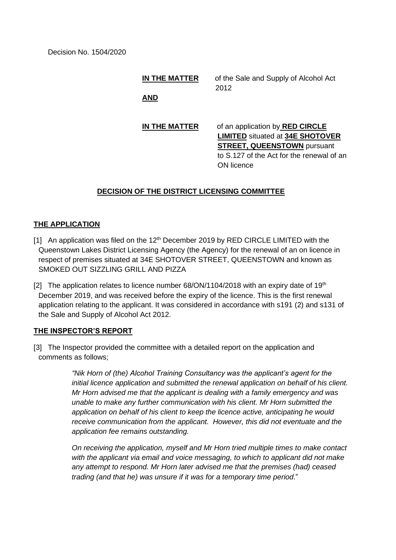#### **IN THE MATTER** of the Sale and Supply of Alcohol Act 2012

**AND**

## **IN THE MATTER** of an application by **RED CIRCLE**

**LIMITED** situated at **34E SHOTOVER STREET, QUEENSTOWN** pursuant to S.127 of the Act for the renewal of an ON licence

#### **DECISION OF THE DISTRICT LICENSING COMMITTEE**

## **THE APPLICATION**

- [1] An application was filed on the 12<sup>th</sup> December 2019 by RED CIRCLE LIMITED with the Queenstown Lakes District Licensing Agency (the Agency) for the renewal of an on licence in respect of premises situated at 34E SHOTOVER STREET, QUEENSTOWN and known as SMOKED OUT SIZZLING GRILL AND PIZZA
- [2] The application relates to licence number  $68/ON/1104/2018$  with an expiry date of  $19<sup>th</sup>$ December 2019, and was received before the expiry of the licence. This is the first renewal application relating to the applicant. It was considered in accordance with s191 (2) and s131 of the Sale and Supply of Alcohol Act 2012.

#### **THE INSPECTOR'S REPORT**

[3] The Inspector provided the committee with a detailed report on the application and comments as follows;

> *"Nik Horn of (the) Alcohol Training Consultancy was the applicant's agent for the initial licence application and submitted the renewal application on behalf of his client. Mr Horn advised me that the applicant is dealing with a family emergency and was unable to make any further communication with his client. Mr Horn submitted the application on behalf of his client to keep the licence active, anticipating he would receive communication from the applicant. However, this did not eventuate and the application fee remains outstanding.*

> *On receiving the application, myself and Mr Horn tried multiple times to make contact with the applicant via email and voice messaging, to which to applicant did not make any attempt to respond. Mr Horn later advised me that the premises (had) ceased trading (and that he) was unsure if it was for a temporary time period*."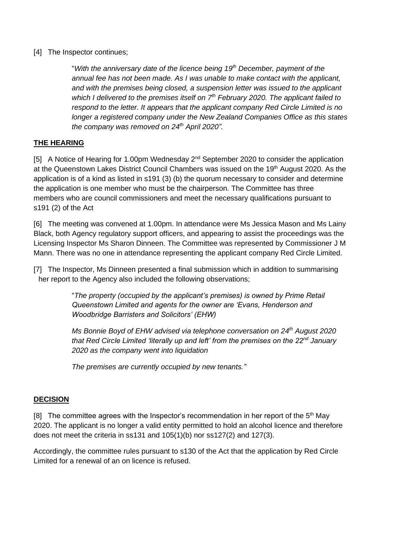[4] The Inspector continues;

"*With the anniversary date of the licence being 19th December, payment of the annual fee has not been made. As I was unable to make contact with the applicant, and with the premises being closed, a suspension letter was issued to the applicant which I delivered to the premises itself on 7th February 2020. The applicant failed to respond to the letter. It appears that the applicant company Red Circle Limited is no longer a registered company under the New Zealand Companies Office as this states the company was removed on 24th April 2020".*

# **THE HEARING**

[5] A Notice of Hearing for 1.00pm Wednesday 2<sup>nd</sup> September 2020 to consider the application at the Queenstown Lakes District Council Chambers was issued on the 19<sup>th</sup> August 2020. As the application is of a kind as listed in s191 (3) (b) the quorum necessary to consider and determine the application is one member who must be the chairperson. The Committee has three members who are council commissioners and meet the necessary qualifications pursuant to s191 (2) of the Act

[6] The meeting was convened at 1.00pm. In attendance were Ms Jessica Mason and Ms Lainy Black, both Agency regulatory support officers, and appearing to assist the proceedings was the Licensing Inspector Ms Sharon Dinneen. The Committee was represented by Commissioner J M Mann. There was no one in attendance representing the applicant company Red Circle Limited.

[7] The Inspector, Ms Dinneen presented a final submission which in addition to summarising her report to the Agency also included the following observations;

> "*The property (occupied by the applicant's premises) is owned by Prime Retail Queenstown Limited and agents for the owner are 'Evans, Henderson and Woodbridge Barristers and Solicitors' (EHW)*

*Ms Bonnie Boyd of EHW advised via telephone conversation on 24th August 2020 that Red Circle Limited 'literally up and left' from the premises on the 22nd January 2020 as the company went into liquidation*

*The premises are currently occupied by new tenants."*

# **DECISION**

[8] The committee agrees with the Inspector's recommendation in her report of the  $5<sup>th</sup>$  May 2020. The applicant is no longer a valid entity permitted to hold an alcohol licence and therefore does not meet the criteria in ss131 and 105(1)(b) nor ss127(2) and 127(3).

Accordingly, the committee rules pursuant to s130 of the Act that the application by Red Circle Limited for a renewal of an on licence is refused.